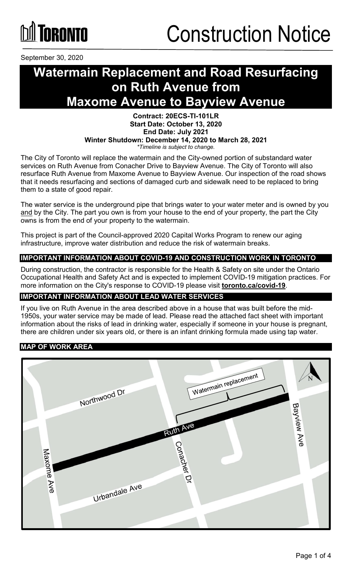

September 30, 2020

## **Watermain Replacement and Road Resurfacing on Ruth Avenue from Maxome Avenue to Bayview Avenue**

#### **Contract: 20ECS-TI-101LR Start Date: October 13, 2020 End Date: July 2021 Winter Shutdown: December 14, 2020 to March 28, 2021** *\*Timeline is subject to change.*

The City of Toronto will replace the watermain and the City-owned portion of substandard water services on Ruth Avenue from Conacher Drive to Bayview Avenue. The City of Toronto will also resurface Ruth Avenue from Maxome Avenue to Bayview Avenue. Our inspection of the road shows that it needs resurfacing and sections of damaged curb and sidewalk need to be replaced to bring them to a state of good repair.

The water service is the underground pipe that brings water to your water meter and is owned by you and by the City. The part you own is from your house to the end of your property, the part the City owns is from the end of your property to the watermain.

This project is part of the Council-approved 2020 Capital Works Program to renew our aging infrastructure, improve water distribution and reduce the risk of watermain breaks.

#### **IMPORTANT INFORMATION ABOUT COVID-19 AND CONSTRUCTION WORK IN TORONTO**

During construction, the contractor is responsible for the Health & Safety on site under the Ontario Occupational Health and Safety Act and is expected to implement COVID-19 mitigation practices. For more information on the City's response to COVID-19 please visit **[toronto.ca/covid-19](http://www.toronto.ca/covid-19)**.

#### **IMPORTANT INFORMATION ABOUT LEAD WATER SERVICES**

If you live on Ruth Avenue in the area described above in a house that was built before the mid-1950s, your water service may be made of lead. Please read the attached fact sheet with important information about the risks of lead in drinking water, especially if someone in your house is pregnant, there are children under six years old, or there is an infant drinking formula made using tap water.

#### **MAP OF WORK AREA**

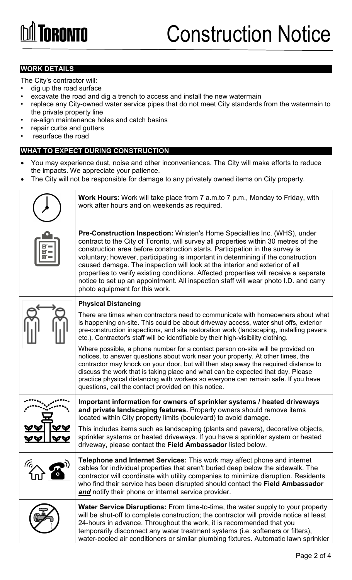### **WORK DETAILS**

The City's contractor will:

- dig up the road surface
- excavate the road and dig a trench to access and install the new watermain
- replace any City-owned water service pipes that do not meet City standards from the watermain to the private property line
- re-align maintenance holes and catch basins
- repair curbs and gutters
- resurface the road

### **WHAT TO EXPECT DURING CONSTRUCTION**

- You may experience dust, noise and other inconveniences. The City will make efforts to reduce the impacts. We appreciate your patience.
- The City will not be responsible for damage to any privately owned items on City property.

|               | <b>Work Hours:</b> Work will take place from 7 a.m.to 7 p.m., Monday to Friday, with<br>work after hours and on weekends as required.                                                                                                                                                                                                                                                                                                                                                                                                                                                                                                          |  |
|---------------|------------------------------------------------------------------------------------------------------------------------------------------------------------------------------------------------------------------------------------------------------------------------------------------------------------------------------------------------------------------------------------------------------------------------------------------------------------------------------------------------------------------------------------------------------------------------------------------------------------------------------------------------|--|
|               | <b>Pre-Construction Inspection: Wristen's Home Specialties Inc. (WHS), under</b><br>contract to the City of Toronto, will survey all properties within 30 metres of the<br>construction area before construction starts. Participation in the survey is<br>voluntary; however, participating is important in determining if the construction<br>caused damage. The inspection will look at the interior and exterior of all<br>properties to verify existing conditions. Affected properties will receive a separate<br>notice to set up an appointment. All inspection staff will wear photo I.D. and carry<br>photo equipment for this work. |  |
|               | <b>Physical Distancing</b>                                                                                                                                                                                                                                                                                                                                                                                                                                                                                                                                                                                                                     |  |
|               | There are times when contractors need to communicate with homeowners about what<br>is happening on-site. This could be about driveway access, water shut offs, exterior<br>pre-construction inspections, and site restoration work (landscaping, installing pavers<br>etc.). Contractor's staff will be identifiable by their high-visibility clothing.                                                                                                                                                                                                                                                                                        |  |
|               | Where possible, a phone number for a contact person on-site will be provided on<br>notices, to answer questions about work near your property. At other times, the<br>contractor may knock on your door, but will then step away the required distance to<br>discuss the work that is taking place and what can be expected that day. Please<br>practice physical distancing with workers so everyone can remain safe. If you have<br>questions, call the contact provided on this notice.                                                                                                                                                     |  |
|               | Important information for owners of sprinkler systems / heated driveways<br>and private landscaping features. Property owners should remove items<br>located within City property limits (boulevard) to avoid damage.                                                                                                                                                                                                                                                                                                                                                                                                                          |  |
|               | This includes items such as landscaping (plants and pavers), decorative objects,<br>sprinkler systems or heated driveways. If you have a sprinkler system or heated<br>driveway, please contact the Field Ambassador listed below.                                                                                                                                                                                                                                                                                                                                                                                                             |  |
| $\mathcal{U}$ | <b>Telephone and Internet Services:</b> This work may affect phone and internet<br>cables for individual properties that aren't buried deep below the sidewalk. The<br>contractor will coordinate with utility companies to minimize disruption. Residents<br>who find their service has been disrupted should contact the Field Ambassador<br>and notify their phone or internet service provider.                                                                                                                                                                                                                                            |  |
|               | Water Service Disruptions: From time-to-time, the water supply to your property<br>will be shut-off to complete construction; the contractor will provide notice at least<br>24-hours in advance. Throughout the work, it is recommended that you<br>temporarily disconnect any water treatment systems (i.e. softeners or filters),<br>water-cooled air conditioners or similar plumbing fixtures. Automatic lawn sprinkler                                                                                                                                                                                                                   |  |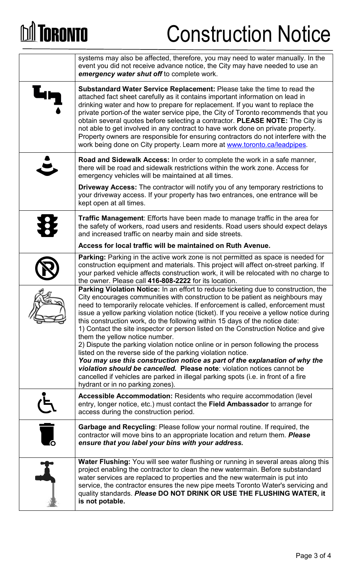# **DA TORONTO**

# Construction Notice

|                          | systems may also be affected, therefore, you may need to water manually. In the<br>event you did not receive advance notice, the City may have needed to use an<br>emergency water shut off to complete work.                                                                                                                                                                                                                                                                                                                                                                                                                                                          |
|--------------------------|------------------------------------------------------------------------------------------------------------------------------------------------------------------------------------------------------------------------------------------------------------------------------------------------------------------------------------------------------------------------------------------------------------------------------------------------------------------------------------------------------------------------------------------------------------------------------------------------------------------------------------------------------------------------|
| <b>G</b>                 | Substandard Water Service Replacement: Please take the time to read the<br>attached fact sheet carefully as it contains important information on lead in<br>drinking water and how to prepare for replacement. If you want to replace the<br>private portion-of the water service pipe, the City of Toronto recommends that you<br>obtain several quotes before selecting a contractor. PLEASE NOTE: The City is<br>not able to get involved in any contract to have work done on private property.<br>Property owners are responsible for ensuring contractors do not interfere with the<br>work being done on City property. Learn more at www.toronto.ca/leadpipes. |
|                          | <b>Road and Sidewalk Access:</b> In order to complete the work in a safe manner,<br>there will be road and sidewalk restrictions within the work zone. Access for<br>emergency vehicles will be maintained at all times.                                                                                                                                                                                                                                                                                                                                                                                                                                               |
|                          | <b>Driveway Access:</b> The contractor will notify you of any temporary restrictions to<br>your driveway access. If your property has two entrances, one entrance will be<br>kept open at all times.                                                                                                                                                                                                                                                                                                                                                                                                                                                                   |
| $\bigoplus$              | <b>Traffic Management:</b> Efforts have been made to manage traffic in the area for<br>the safety of workers, road users and residents. Road users should expect delays<br>and increased traffic on nearby main and side streets.                                                                                                                                                                                                                                                                                                                                                                                                                                      |
|                          | Access for local traffic will be maintained on Ruth Avenue.                                                                                                                                                                                                                                                                                                                                                                                                                                                                                                                                                                                                            |
|                          | <b>Parking:</b> Parking in the active work zone is not permitted as space is needed for<br>construction equipment and materials. This project will affect on-street parking. If<br>your parked vehicle affects construction work, it will be relocated with no charge to<br>the owner. Please call 416-808-2222 for its location.                                                                                                                                                                                                                                                                                                                                      |
|                          | Parking Violation Notice: In an effort to reduce ticketing due to construction, the<br>City encourages communities with construction to be patient as neighbours may<br>need to temporarily relocate vehicles. If enforcement is called, enforcement must<br>issue a yellow parking violation notice (ticket). If you receive a yellow notice during<br>this construction work, do the following within 15 days of the notice date:<br>1) Contact the site inspector or person listed on the Construction Notice and give<br>them the yellow notice number.                                                                                                            |
|                          | 2) Dispute the parking violation notice online or in person following the process                                                                                                                                                                                                                                                                                                                                                                                                                                                                                                                                                                                      |
|                          | listed on the reverse side of the parking violation notice.<br>You may use this construction notice as part of the explanation of why the<br>violation should be cancelled. Please note: violation notices cannot be<br>cancelled if vehicles are parked in illegal parking spots (i.e. in front of a fire<br>hydrant or in no parking zones).                                                                                                                                                                                                                                                                                                                         |
|                          | <b>Accessible Accommodation: Residents who require accommodation (level)</b><br>entry, longer notice, etc.) must contact the Field Ambassador to arrange for<br>access during the construction period.                                                                                                                                                                                                                                                                                                                                                                                                                                                                 |
| $\overline{\phantom{a}}$ | <b>Garbage and Recycling: Please follow your normal routine. If required, the</b><br>contractor will move bins to an appropriate location and return them. Please<br>ensure that you label your bins with your address.                                                                                                                                                                                                                                                                                                                                                                                                                                                |
|                          | <b>Water Flushing:</b> You will see water flushing or running in several areas along this<br>project enabling the contractor to clean the new watermain. Before substandard<br>water services are replaced to properties and the new watermain is put into<br>service, the contractor ensures the new pipe meets Toronto Water's servicing and<br>quality standards. Please DO NOT DRINK OR USE THE FLUSHING WATER, it<br>is not potable.                                                                                                                                                                                                                              |